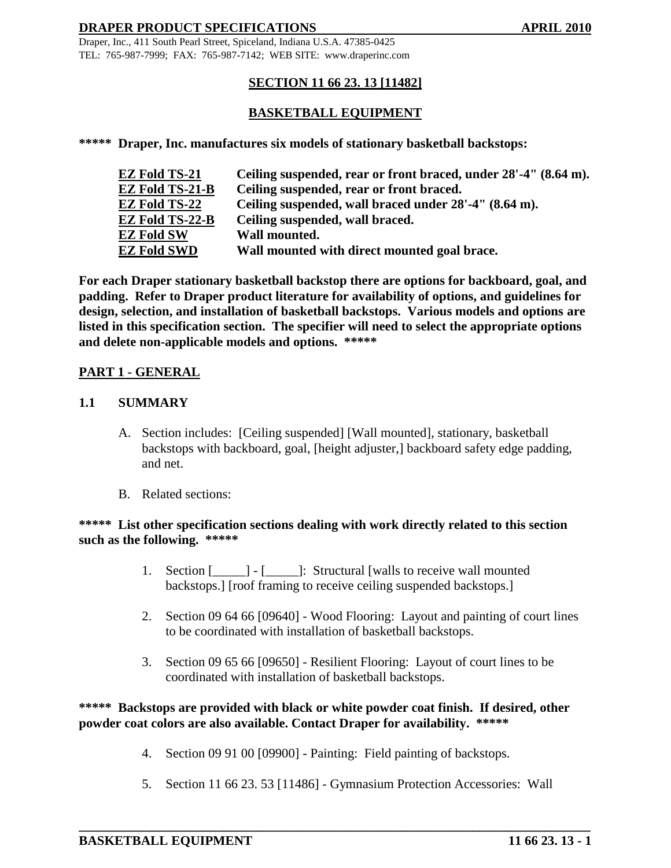Draper, Inc., 411 South Pearl Street, Spiceland, Indiana U.S.A. 47385-0425 TEL: 765-987-7999; FAX: 765-987-7142; WEB SITE: www.draperinc.com

# **SECTION 11 66 23. 13 [11482]**

# **BASKETBALL EQUIPMENT**

**\*\*\*\*\* Draper, Inc. manufactures six models of stationary basketball backstops:**

| EZ Fold TS-21   | Ceiling suspended, rear or front braced, under 28'-4" (8.64 m). |
|-----------------|-----------------------------------------------------------------|
| EZ Fold TS-21-B | Ceiling suspended, rear or front braced.                        |
| EZ Fold TS-22   | Ceiling suspended, wall braced under 28'-4" (8.64 m).           |
| EZ Fold TS-22-B | Ceiling suspended, wall braced.                                 |
| EZ Fold SW      | Wall mounted.                                                   |
| EZ Fold SWD     | Wall mounted with direct mounted goal brace.                    |

**For each Draper stationary basketball backstop there are options for backboard, goal, and padding. Refer to Draper product literature for availability of options, and guidelines for design, selection, and installation of basketball backstops. Various models and options are listed in this specification section. The specifier will need to select the appropriate options and delete non-applicable models and options. \*\*\*\*\***

#### **PART 1 - GENERAL**

#### **1.1 SUMMARY**

- A. Section includes: [Ceiling suspended] [Wall mounted], stationary, basketball backstops with backboard, goal, [height adjuster,] backboard safety edge padding, and net.
- B. Related sections:

#### \*\*\*\*\* List other specification sections dealing with work directly related to this section **such as the following. \*\*\*\*\***

- 1. Section [**walls** [**walls** to receive wall mounted backstops.] [roof framing to receive ceiling suspended backstops.]
- 2. Section 09 64 66 [09640] Wood Flooring: Layout and painting of court lines to be coordinated with installation of basketball backstops.
- 3. Section 09 65 66 [09650] Resilient Flooring: Layout of court lines to be coordinated with installation of basketball backstops.

# **\*\*\*\*\* Backstops are provided with black or white powder coat finish. If desired, other powder coat colors are also available. Contact Draper for availability. \*\*\*\*\***

- 4. Section 09 91 00 [09900] Painting: Field painting of backstops.
- 5. Section 11 66 23. 53 [11486] Gymnasium Protection Accessories: Wall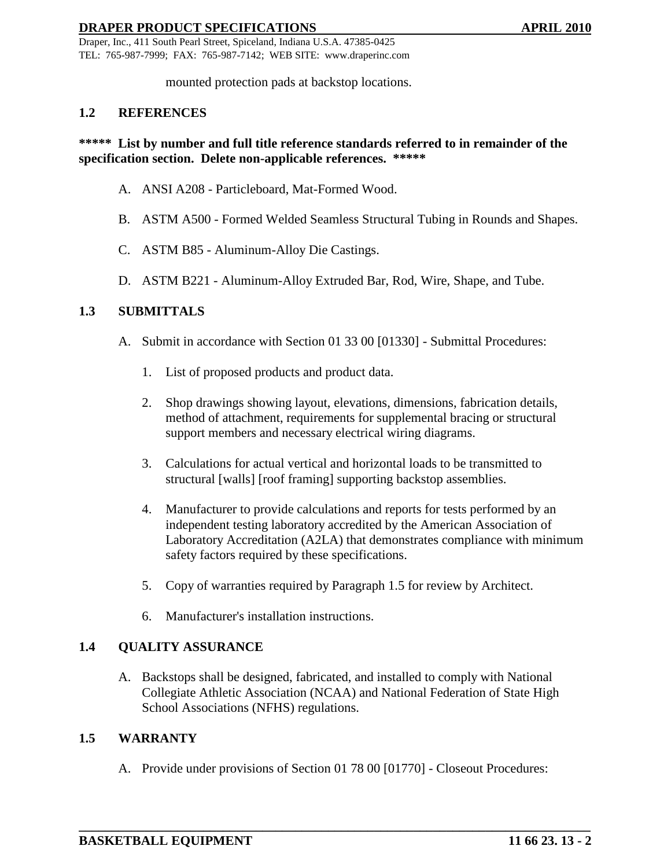Draper, Inc., 411 South Pearl Street, Spiceland, Indiana U.S.A. 47385-0425 TEL: 765-987-7999; FAX: 765-987-7142; WEB SITE: www.draperinc.com

mounted protection pads at backstop locations.

#### **1.2 REFERENCES**

### **\*\*\*\*\* List by number and full title reference standards referred to in remainder of the specification section. Delete non-applicable references. \*\*\*\*\***

- A. ANSI A208 Particleboard, Mat-Formed Wood.
- B. ASTM A500 Formed Welded Seamless Structural Tubing in Rounds and Shapes.
- C. ASTM B85 Aluminum-Alloy Die Castings.
- D. ASTM B221 Aluminum-Alloy Extruded Bar, Rod, Wire, Shape, and Tube.

#### **1.3 SUBMITTALS**

- A. Submit in accordance with Section 01 33 00 [01330] Submittal Procedures:
	- 1. List of proposed products and product data.
	- 2. Shop drawings showing layout, elevations, dimensions, fabrication details, method of attachment, requirements for supplemental bracing or structural support members and necessary electrical wiring diagrams.
	- 3. Calculations for actual vertical and horizontal loads to be transmitted to structural [walls] [roof framing] supporting backstop assemblies.
	- 4. Manufacturer to provide calculations and reports for tests performed by an independent testing laboratory accredited by the American Association of Laboratory Accreditation (A2LA) that demonstrates compliance with minimum safety factors required by these specifications.
	- 5. Copy of warranties required by Paragraph 1.5 for review by Architect.
	- 6. Manufacturer's installation instructions.

# **1.4 QUALITY ASSURANCE**

A. Backstops shall be designed, fabricated, and installed to comply with National Collegiate Athletic Association (NCAA) and National Federation of State High School Associations (NFHS) regulations.

#### **1.5 WARRANTY**

A. Provide under provisions of Section 01 78 00 [01770] - Closeout Procedures: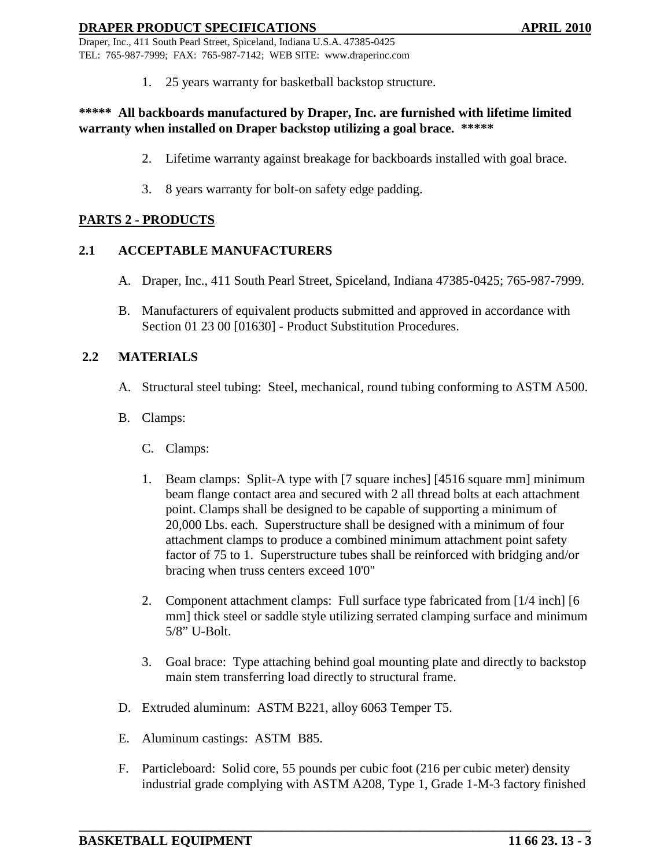Draper, Inc., 411 South Pearl Street, Spiceland, Indiana U.S.A. 47385-0425 TEL: 765-987-7999; FAX: 765-987-7142; WEB SITE: www.draperinc.com

1. 25 years warranty for basketball backstop structure.

### **\*\*\*\*\* All backboards manufactured by Draper, Inc. are furnished with lifetime limited warranty when installed on Draper backstop utilizing a goal brace. \*\*\*\*\***

- 2. Lifetime warranty against breakage for backboards installed with goal brace.
- 3. 8 years warranty for bolt-on safety edge padding.

# **PARTS 2 - PRODUCTS**

# **2.1 ACCEPTABLE MANUFACTURERS**

- A. Draper, Inc., 411 South Pearl Street, Spiceland, Indiana 47385-0425; 765-987-7999.
- B. Manufacturers of equivalent products submitted and approved in accordance with Section 01 23 00 [01630] - Product Substitution Procedures.

# **2.2 MATERIALS**

- A. Structural steel tubing: Steel, mechanical, round tubing conforming to ASTM A500.
- B. Clamps:
	- C. Clamps:
	- 1. Beam clamps: Split-A type with [7 square inches] [4516 square mm] minimum beam flange contact area and secured with 2 all thread bolts at each attachment point. Clamps shall be designed to be capable of supporting a minimum of 20,000 Lbs. each. Superstructure shall be designed with a minimum of four attachment clamps to produce a combined minimum attachment point safety factor of 75 to 1. Superstructure tubes shall be reinforced with bridging and/or bracing when truss centers exceed 10'0"
	- 2. Component attachment clamps: Full surface type fabricated from [1/4 inch] [6 mm] thick steel or saddle style utilizing serrated clamping surface and minimum 5/8" U-Bolt.
	- 3. Goal brace: Type attaching behind goal mounting plate and directly to backstop main stem transferring load directly to structural frame.
- D. Extruded aluminum: ASTM B221, alloy 6063 Temper T5.
- E. Aluminum castings: ASTM B85.
- F. Particleboard: Solid core, 55 pounds per cubic foot (216 per cubic meter) density industrial grade complying with ASTM A208, Type 1, Grade 1-M-3 factory finished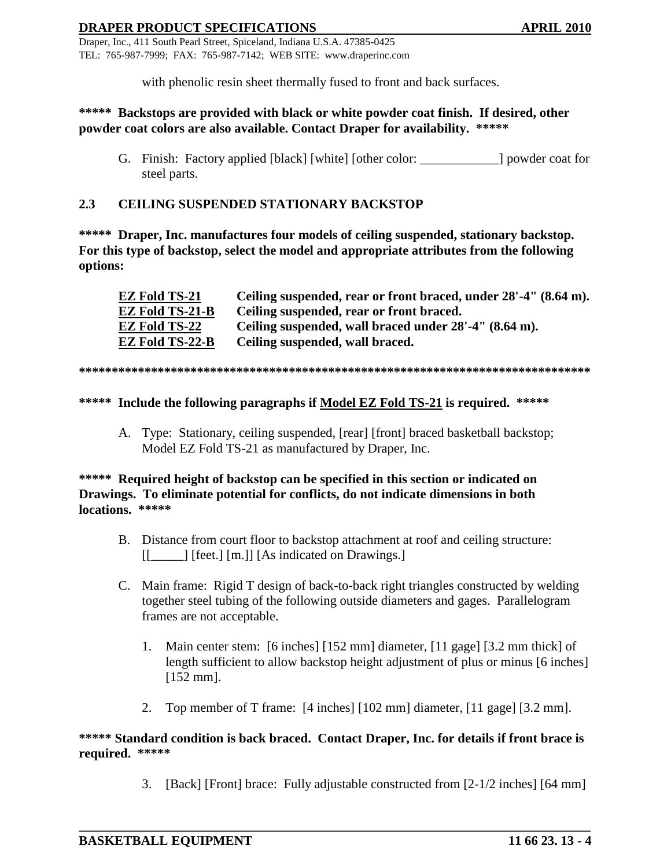Draper, Inc., 411 South Pearl Street, Spiceland, Indiana U.S.A. 47385-0425 TEL: 765-987-7999; FAX: 765-987-7142; WEB SITE: www.draperinc.com

with phenolic resin sheet thermally fused to front and back surfaces.

### **\*\*\*\*\* Backstops are provided with black or white powder coat finish. If desired, other powder coat colors are also available. Contact Draper for availability. \*\*\*\*\***

G. Finish: Factory applied [black] [white] [other color: ] powder coat for steel parts.

# **2.3 CEILING SUSPENDED STATIONARY BACKSTOP**

**\*\*\*\*\* Draper, Inc. manufactures four models of ceiling suspended, stationary backstop. For this type of backstop, select the model and appropriate attributes from the following options:**

| EZ Fold TS-21   | Ceiling suspended, rear or front braced, under 28'-4" (8.64 m). |
|-----------------|-----------------------------------------------------------------|
| EZ Fold TS-21-B | Ceiling suspended, rear or front braced.                        |
| EZ Fold TS-22   | Ceiling suspended, wall braced under 28'-4" (8.64 m).           |
| EZ Fold TS-22-B | Ceiling suspended, wall braced.                                 |

#### **\*\*\*\*\*\*\*\*\*\*\*\*\*\*\*\*\*\*\*\*\*\*\*\*\*\*\*\*\*\*\*\*\*\*\*\*\*\*\*\*\*\*\*\*\*\*\*\*\*\*\*\*\*\*\*\*\*\*\*\*\*\*\*\*\*\*\*\*\*\*\*\*\*\*\*\*\*\***

### **\*\*\*\*\* Include the following paragraphs if Model EZ Fold TS-21 is required. \*\*\*\*\***

A. Type: Stationary, ceiling suspended, [rear] [front] braced basketball backstop; Model EZ Fold TS-21 as manufactured by Draper, Inc.

### **\*\*\*\*\* Required height of backstop can be specified in this section or indicated on Drawings. To eliminate potential for conflicts, do not indicate dimensions in both locations. \*\*\*\*\***

- B. Distance from court floor to backstop attachment at roof and ceiling structure: [[\_\_\_\_\_] [feet.] [m.]] [As indicated on Drawings.]
- C. Main frame: Rigid T design of back-to-back right triangles constructed by welding together steel tubing of the following outside diameters and gages. Parallelogram frames are not acceptable.
	- 1. Main center stem: [6 inches] [152 mm] diameter, [11 gage] [3.2 mm thick] of length sufficient to allow backstop height adjustment of plus or minus [6 inches] [152 mm].
	- 2. Top member of T frame: [4 inches] [102 mm] diameter, [11 gage] [3.2 mm].

### **\*\*\*\*\* Standard condition is back braced. Contact Draper, Inc. for details if front brace is required. \*\*\*\*\***

3. [Back] [Front] brace: Fully adjustable constructed from [2-1/2 inches] [64 mm]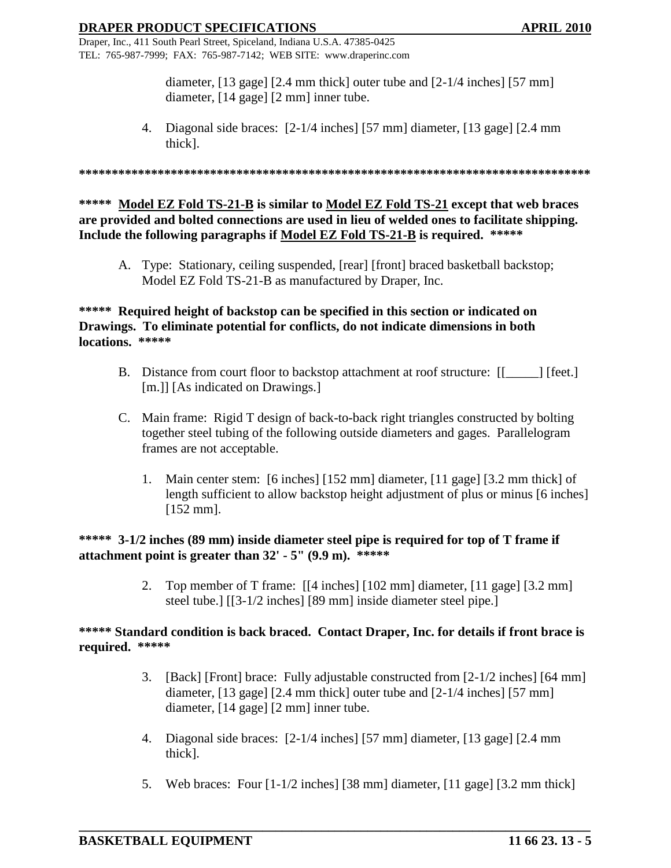Draper, Inc., 411 South Pearl Street, Spiceland, Indiana U.S.A. 47385-0425 TEL: 765-987-7999; FAX: 765-987-7142; WEB SITE: www.draperinc.com

> diameter, [13 gage] [2.4 mm thick] outer tube and [2-1/4 inches] [57 mm] diameter, [14 gage] [2 mm] inner tube.

4. Diagonal side braces: [2-1/4 inches] [57 mm] diameter, [13 gage] [2.4 mm thick].

**\*\*\*\*\*\*\*\*\*\*\*\*\*\*\*\*\*\*\*\*\*\*\*\*\*\*\*\*\*\*\*\*\*\*\*\*\*\*\*\*\*\*\*\*\*\*\*\*\*\*\*\*\*\*\*\*\*\*\*\*\*\*\*\*\*\*\*\*\*\*\*\*\*\*\*\*\*\***

**\*\*\*\*\* Model EZ Fold TS-21-B is similar to Model EZ Fold TS-21 except that web braces are provided and bolted connections are used in lieu of welded ones to facilitate shipping. Include the following paragraphs if Model EZ Fold TS-21-B is required. \*\*\*\*\***

A. Type: Stationary, ceiling suspended, [rear] [front] braced basketball backstop; Model EZ Fold TS-21-B as manufactured by Draper, Inc.

# **\*\*\*\*\* Required height of backstop can be specified in this section or indicated on Drawings. To eliminate potential for conflicts, do not indicate dimensions in both locations. \*\*\*\*\***

- B. Distance from court floor to backstop attachment at roof structure: [[\_\_\_\_\_] [feet.] [m.]] [As indicated on Drawings.]
- C. Main frame: Rigid T design of back-to-back right triangles constructed by bolting together steel tubing of the following outside diameters and gages. Parallelogram frames are not acceptable.
	- 1. Main center stem: [6 inches] [152 mm] diameter, [11 gage] [3.2 mm thick] of length sufficient to allow backstop height adjustment of plus or minus [6 inches] [152 mm].

**\*\*\*\*\* 3-1/2 inches (89 mm) inside diameter steel pipe is required for top of T frame if attachment point is greater than 32' - 5" (9.9 m). \*\*\*\*\***

> 2. Top member of T frame: [[4 inches] [102 mm] diameter, [11 gage] [3.2 mm] steel tube.] [[3-1/2 inches] [89 mm] inside diameter steel pipe.]

### **\*\*\*\*\* Standard condition is back braced. Contact Draper, Inc. for details if front brace is required. \*\*\*\*\***

- 3. [Back] [Front] brace: Fully adjustable constructed from [2-1/2 inches] [64 mm] diameter, [13 gage] [2.4 mm thick] outer tube and [2-1/4 inches] [57 mm] diameter, [14 gage] [2 mm] inner tube.
- 4. Diagonal side braces: [2-1/4 inches] [57 mm] diameter, [13 gage] [2.4 mm thick].
- 5. Web braces: Four [1-1/2 inches] [38 mm] diameter, [11 gage] [3.2 mm thick]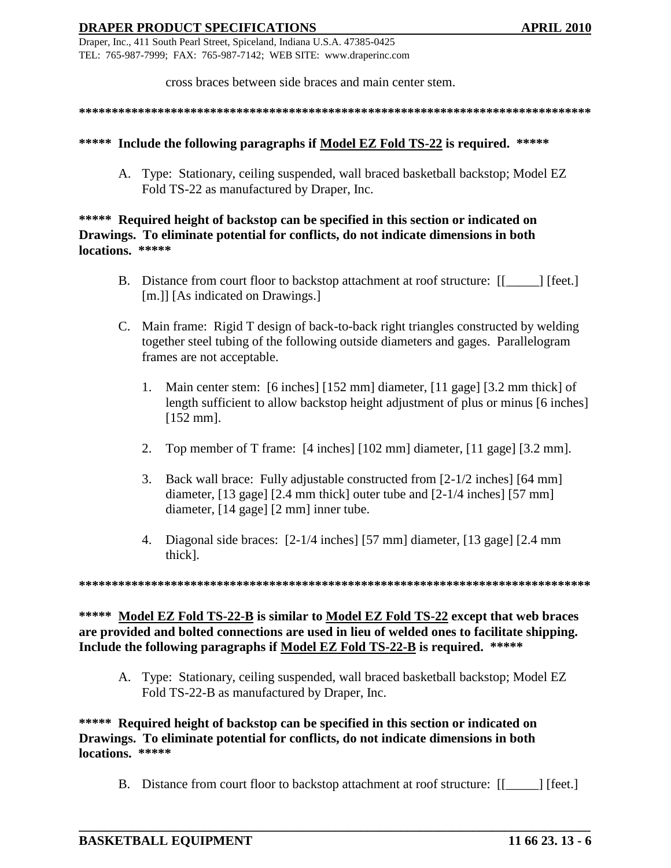cross braces between side braces and main center stem.

**\*\*\*\*\*\*\*\*\*\*\*\*\*\*\*\*\*\*\*\*\*\*\*\*\*\*\*\*\*\*\*\*\*\*\*\*\*\*\*\*\*\*\*\*\*\*\*\*\*\*\*\*\*\*\*\*\*\*\*\*\*\*\*\*\*\*\*\*\*\*\*\*\*\*\*\*\*\***

#### **\*\*\*\*\* Include the following paragraphs if Model EZ Fold TS-22 is required. \*\*\*\*\***

A. Type: Stationary, ceiling suspended, wall braced basketball backstop; Model EZ Fold TS-22 as manufactured by Draper, Inc.

## **\*\*\*\*\* Required height of backstop can be specified in this section or indicated on Drawings. To eliminate potential for conflicts, do not indicate dimensions in both locations. \*\*\*\*\***

- B. Distance from court floor to backstop attachment at roof structure: [[\_\_\_\_\_] [feet.] [m.]] [As indicated on Drawings.]
- C. Main frame: Rigid T design of back-to-back right triangles constructed by welding together steel tubing of the following outside diameters and gages. Parallelogram frames are not acceptable.
	- 1. Main center stem: [6 inches] [152 mm] diameter, [11 gage] [3.2 mm thick] of length sufficient to allow backstop height adjustment of plus or minus [6 inches] [152 mm].
	- 2. Top member of T frame: [4 inches] [102 mm] diameter, [11 gage] [3.2 mm].
	- 3. Back wall brace: Fully adjustable constructed from [2-1/2 inches] [64 mm] diameter, [13 gage] [2.4 mm thick] outer tube and [2-1/4 inches] [57 mm] diameter, [14 gage] [2 mm] inner tube.
	- 4. Diagonal side braces: [2-1/4 inches] [57 mm] diameter, [13 gage] [2.4 mm thick].

**\*\*\*\*\*\*\*\*\*\*\*\*\*\*\*\*\*\*\*\*\*\*\*\*\*\*\*\*\*\*\*\*\*\*\*\*\*\*\*\*\*\*\*\*\*\*\*\*\*\*\*\*\*\*\*\*\*\*\*\*\*\*\*\*\*\*\*\*\*\*\*\*\*\*\*\*\*\***

**\*\*\*\*\* Model EZ Fold TS-22-B is similar to Model EZ Fold TS-22 except that web braces are provided and bolted connections are used in lieu of welded ones to facilitate shipping. Include the following paragraphs if Model EZ Fold TS-22-B is required. \*\*\*\*\***

A. Type: Stationary, ceiling suspended, wall braced basketball backstop; Model EZ Fold TS-22-B as manufactured by Draper, Inc.

**\*\*\*\*\* Required height of backstop can be specified in this section or indicated on Drawings. To eliminate potential for conflicts, do not indicate dimensions in both locations. \*\*\*\*\***

B. Distance from court floor to backstop attachment at roof structure:  $\begin{bmatrix} \cdot & \cdot & \cdot \\ \cdot & \cdot & \cdot \\ \cdot & \cdot & \cdot \end{bmatrix}$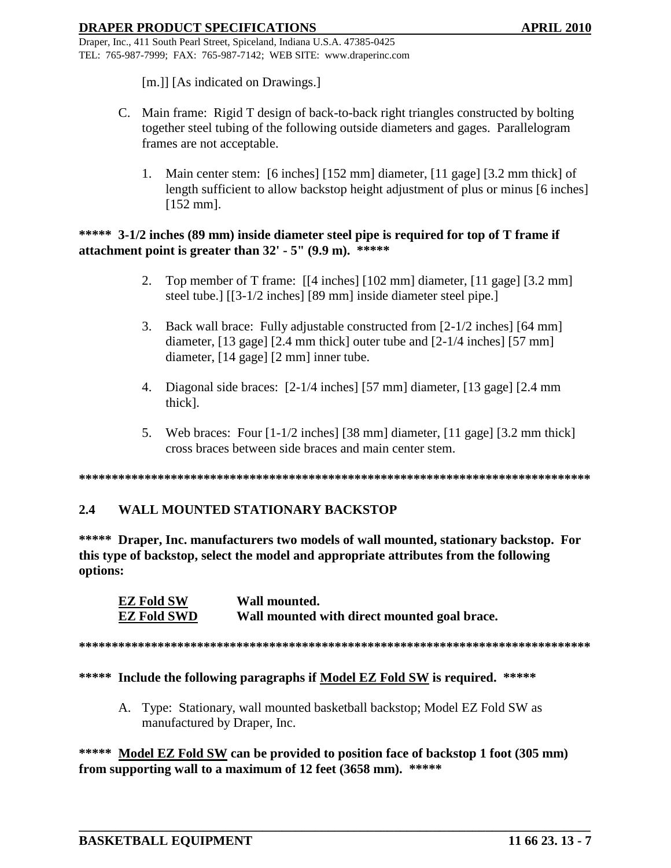[m.]] [As indicated on Drawings.]

- C. Main frame: Rigid T design of back-to-back right triangles constructed by bolting together steel tubing of the following outside diameters and gages. Parallelogram frames are not acceptable.
	- 1. Main center stem: [6 inches] [152 mm] diameter, [11 gage] [3.2 mm thick] of length sufficient to allow backstop height adjustment of plus or minus [6 inches] [152 mm].

# **\*\*\*\*\* 3-1/2 inches (89 mm) inside diameter steel pipe is required for top of T frame if attachment point is greater than 32' - 5" (9.9 m). \*\*\*\*\***

- 2. Top member of T frame: [[4 inches] [102 mm] diameter, [11 gage] [3.2 mm] steel tube.] [[3-1/2 inches] [89 mm] inside diameter steel pipe.]
- 3. Back wall brace: Fully adjustable constructed from [2-1/2 inches] [64 mm] diameter, [13 gage] [2.4 mm thick] outer tube and [2-1/4 inches] [57 mm] diameter, [14 gage] [2 mm] inner tube.
- 4. Diagonal side braces: [2-1/4 inches] [57 mm] diameter, [13 gage] [2.4 mm thick].
- 5. Web braces: Four [1-1/2 inches] [38 mm] diameter, [11 gage] [3.2 mm thick] cross braces between side braces and main center stem.

**\*\*\*\*\*\*\*\*\*\*\*\*\*\*\*\*\*\*\*\*\*\*\*\*\*\*\*\*\*\*\*\*\*\*\*\*\*\*\*\*\*\*\*\*\*\*\*\*\*\*\*\*\*\*\*\*\*\*\*\*\*\*\*\*\*\*\*\*\*\*\*\*\*\*\*\*\*\***

# **2.4 WALL MOUNTED STATIONARY BACKSTOP**

**\*\*\*\*\* Draper, Inc. manufacturers two models of wall mounted, stationary backstop. For this type of backstop, select the model and appropriate attributes from the following options:**

**EZ Fold SW Wall mounted. EZ Fold SWD Wall mounted with direct mounted goal brace.**

**\*\*\*\*\*\*\*\*\*\*\*\*\*\*\*\*\*\*\*\*\*\*\*\*\*\*\*\*\*\*\*\*\*\*\*\*\*\*\*\*\*\*\*\*\*\*\*\*\*\*\*\*\*\*\*\*\*\*\*\*\*\*\*\*\*\*\*\*\*\*\*\*\*\*\*\*\*\***

### **\*\*\*\*\* Include the following paragraphs if Model EZ Fold SW is required. \*\*\*\*\***

A. Type: Stationary, wall mounted basketball backstop; Model EZ Fold SW as manufactured by Draper, Inc.

**\*\*\*\*\* Model EZ Fold SW can be provided to position face of backstop 1 foot (305 mm) from supporting wall to a maximum of 12 feet (3658 mm). \*\*\*\*\***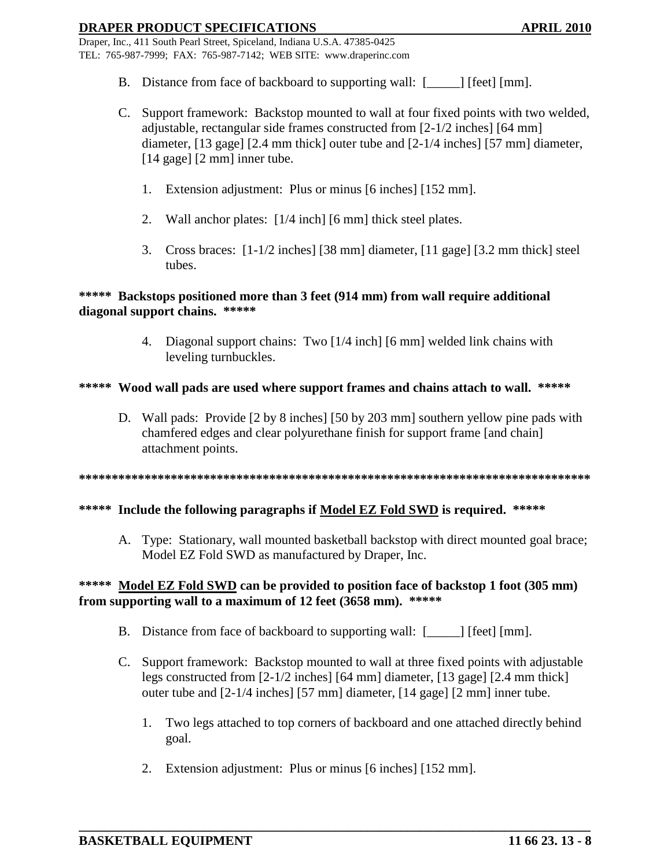Draper, Inc., 411 South Pearl Street, Spiceland, Indiana U.S.A. 47385-0425 TEL: 765-987-7999; FAX: 765-987-7142; WEB SITE: www.draperinc.com

- B. Distance from face of backboard to supporting wall:  $[\_\_\]$  [feet] [mm].
- C. Support framework: Backstop mounted to wall at four fixed points with two welded, adjustable, rectangular side frames constructed from [2-1/2 inches] [64 mm] diameter, [13 gage] [2.4 mm thick] outer tube and [2-1/4 inches] [57 mm] diameter, [14 gage] [2 mm] inner tube.
	- 1. Extension adjustment: Plus or minus [6 inches] [152 mm].
	- 2. Wall anchor plates: [1/4 inch] [6 mm] thick steel plates.
	- 3. Cross braces: [1-1/2 inches] [38 mm] diameter, [11 gage] [3.2 mm thick] steel tubes.

### **\*\*\*\*\* Backstops positioned more than 3 feet (914 mm) from wall require additional diagonal support chains. \*\*\*\*\***

4. Diagonal support chains: Two [1/4 inch] [6 mm] welded link chains with leveling turnbuckles.

### **\*\*\*\*\* Wood wall pads are used where support frames and chains attach to wall. \*\*\*\*\***

D. Wall pads: Provide [2 by 8 inches] [50 by 203 mm] southern yellow pine pads with chamfered edges and clear polyurethane finish for support frame [and chain] attachment points.

**\*\*\*\*\*\*\*\*\*\*\*\*\*\*\*\*\*\*\*\*\*\*\*\*\*\*\*\*\*\*\*\*\*\*\*\*\*\*\*\*\*\*\*\*\*\*\*\*\*\*\*\*\*\*\*\*\*\*\*\*\*\*\*\*\*\*\*\*\*\*\*\*\*\*\*\*\*\***

### **\*\*\*\*\* Include the following paragraphs if Model EZ Fold SWD is required. \*\*\*\*\***

A. Type: Stationary, wall mounted basketball backstop with direct mounted goal brace; Model EZ Fold SWD as manufactured by Draper, Inc.

# **\*\*\*\*\* Model EZ Fold SWD can be provided to position face of backstop 1 foot (305 mm) from supporting wall to a maximum of 12 feet (3658 mm). \*\*\*\*\***

- B. Distance from face of backboard to supporting wall:  $[\_\]$  [feet] [mm].
- C. Support framework: Backstop mounted to wall at three fixed points with adjustable legs constructed from [2-1/2 inches] [64 mm] diameter, [13 gage] [2.4 mm thick] outer tube and [2-1/4 inches] [57 mm] diameter, [14 gage] [2 mm] inner tube.
	- 1. Two legs attached to top corners of backboard and one attached directly behind goal.
	- 2. Extension adjustment: Plus or minus [6 inches] [152 mm].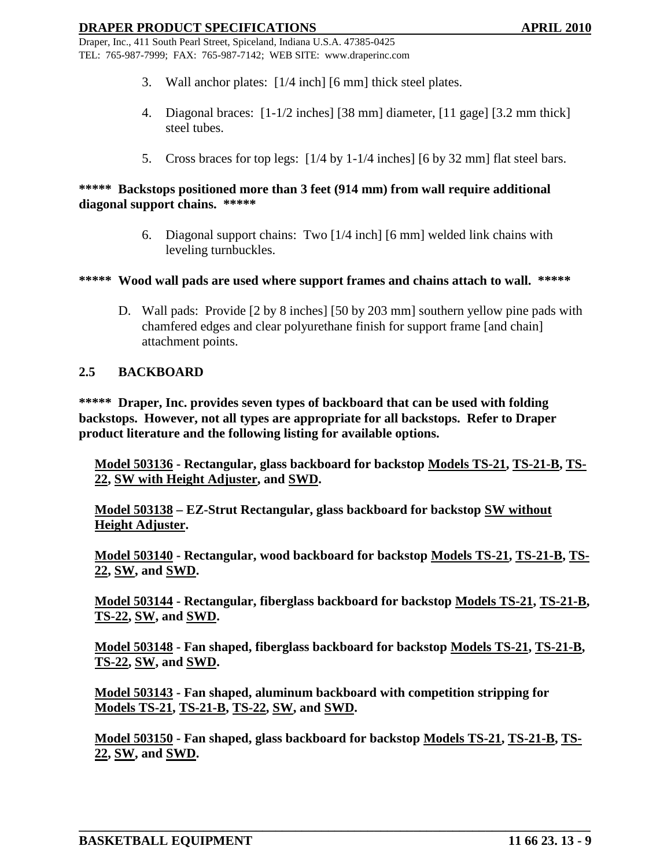Draper, Inc., 411 South Pearl Street, Spiceland, Indiana U.S.A. 47385-0425 TEL: 765-987-7999; FAX: 765-987-7142; WEB SITE: www.draperinc.com

- 3. Wall anchor plates: [1/4 inch] [6 mm] thick steel plates.
- 4. Diagonal braces: [1-1/2 inches] [38 mm] diameter, [11 gage] [3.2 mm thick] steel tubes.
- 5. Cross braces for top legs: [1/4 by 1-1/4 inches] [6 by 32 mm] flat steel bars.

### **\*\*\*\*\* Backstops positioned more than 3 feet (914 mm) from wall require additional diagonal support chains. \*\*\*\*\***

6. Diagonal support chains: Two [1/4 inch] [6 mm] welded link chains with leveling turnbuckles.

#### **\*\*\*\*\* Wood wall pads are used where support frames and chains attach to wall. \*\*\*\*\***

D. Wall pads: Provide [2 by 8 inches] [50 by 203 mm] southern yellow pine pads with chamfered edges and clear polyurethane finish for support frame [and chain] attachment points.

### **2.5 BACKBOARD**

**\*\*\*\*\* Draper, Inc. provides seven types of backboard that can be used with folding backstops. However, not all types are appropriate for all backstops. Refer to Draper product literature and the following listing for available options.**

**Model 503136 - Rectangular, glass backboard for backstop Models TS-21, TS-21-B, TS- 22, SW with Height Adjuster, and SWD.**

**Model 503138 – EZ-Strut Rectangular, glass backboard for backstop SW without Height Adjuster.**

**Model 503140 - Rectangular, wood backboard for backstop Models TS-21, TS-21-B, TS- 22, SW, and SWD.**

**Model 503144 - Rectangular, fiberglass backboard for backstop Models TS-21, TS-21-B, TS-22, SW, and SWD.**

**Model 503148 - Fan shaped, fiberglass backboard for backstop Models TS-21, TS-21-B, TS-22, SW, and SWD.**

**Model 503143 - Fan shaped, aluminum backboard with competition stripping for Models TS-21, TS-21-B, TS-22, SW, and SWD.**

**Model 503150 - Fan shaped, glass backboard for backstop Models TS-21, TS-21-B, TS- 22, SW, and SWD.**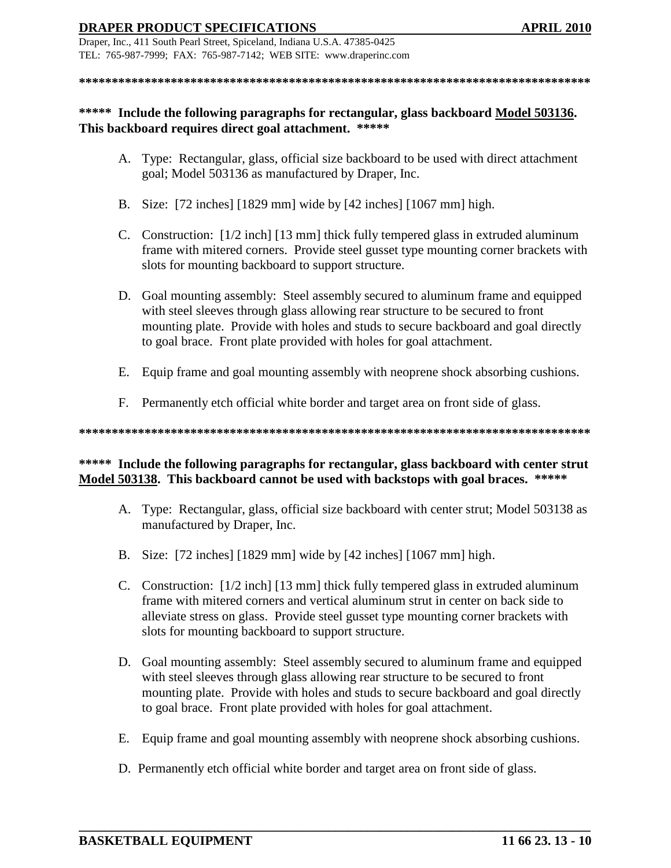Draper, Inc., 411 South Pearl Street, Spiceland, Indiana U.S.A. 47385-0425 TEL: 765-987-7999; FAX: 765-987-7142; WEB SITE: www.draperinc.com

**\*\*\*\*\*\*\*\*\*\*\*\*\*\*\*\*\*\*\*\*\*\*\*\*\*\*\*\*\*\*\*\*\*\*\*\*\*\*\*\*\*\*\*\*\*\*\*\*\*\*\*\*\*\*\*\*\*\*\*\*\*\*\*\*\*\*\*\*\*\*\*\*\*\*\*\*\*\***

## **\*\*\*\*\* Include the following paragraphs for rectangular, glass backboard Model 503136. This backboard requires direct goal attachment. \*\*\*\*\***

- A. Type: Rectangular, glass, official size backboard to be used with direct attachment goal; Model 503136 as manufactured by Draper, Inc.
- B. Size: [72 inches] [1829 mm] wide by [42 inches] [1067 mm] high.
- C. Construction: [1/2 inch] [13 mm] thick fully tempered glass in extruded aluminum frame with mitered corners. Provide steel gusset type mounting corner brackets with slots for mounting backboard to support structure.
- D. Goal mounting assembly: Steel assembly secured to aluminum frame and equipped with steel sleeves through glass allowing rear structure to be secured to front mounting plate. Provide with holes and studs to secure backboard and goal directly to goal brace. Front plate provided with holes for goal attachment.
- E. Equip frame and goal mounting assembly with neoprene shock absorbing cushions.
- F. Permanently etch official white border and target area on front side of glass.

**\*\*\*\*\*\*\*\*\*\*\*\*\*\*\*\*\*\*\*\*\*\*\*\*\*\*\*\*\*\*\*\*\*\*\*\*\*\*\*\*\*\*\*\*\*\*\*\*\*\*\*\*\*\*\*\*\*\*\*\*\*\*\*\*\*\*\*\*\*\*\*\*\*\*\*\*\*\***

# \*\*\*\*\* Include the following paragraphs for rectangular, glass backboard with center strut **Model 503138. This backboard cannot be used with backstops with goal braces. \*\*\*\*\***

- A. Type: Rectangular, glass, official size backboard with center strut; Model 503138 as manufactured by Draper, Inc.
- B. Size: [72 inches] [1829 mm] wide by [42 inches] [1067 mm] high.
- C. Construction: [1/2 inch] [13 mm] thick fully tempered glass in extruded aluminum frame with mitered corners and vertical aluminum strut in center on back side to alleviate stress on glass. Provide steel gusset type mounting corner brackets with slots for mounting backboard to support structure.
- D. Goal mounting assembly: Steel assembly secured to aluminum frame and equipped with steel sleeves through glass allowing rear structure to be secured to front mounting plate. Provide with holes and studs to secure backboard and goal directly to goal brace. Front plate provided with holes for goal attachment.
- E. Equip frame and goal mounting assembly with neoprene shock absorbing cushions.
- D. Permanently etch official white border and target area on front side of glass.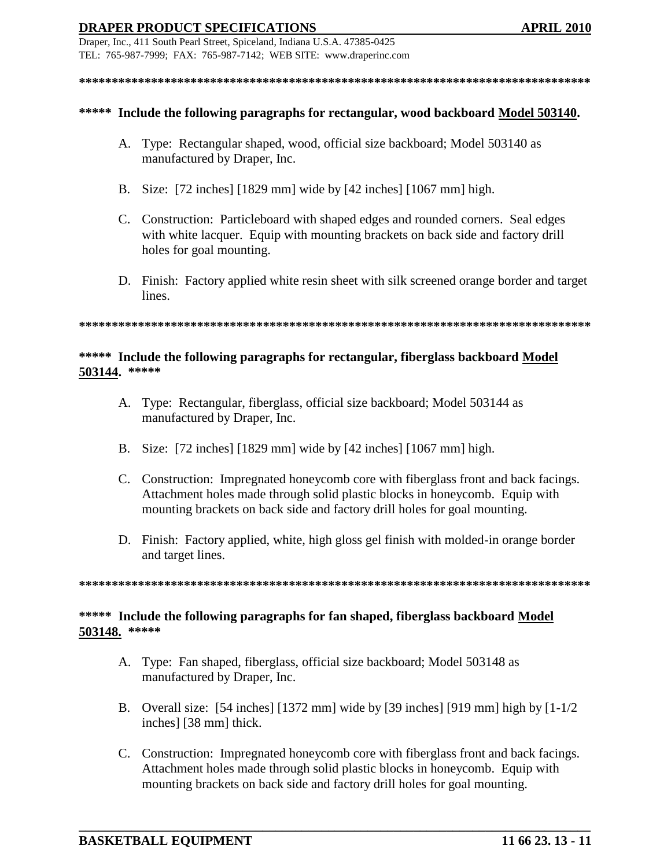Draper, Inc., 411 South Pearl Street, Spiceland, Indiana U.S.A. 47385-0425 TEL: 765-987-7999; FAX: 765-987-7142; WEB SITE: www.draperinc.com

#### **\*\*\*\*\*\*\*\*\*\*\*\*\*\*\*\*\*\*\*\*\*\*\*\*\*\*\*\*\*\*\*\*\*\*\*\*\*\*\*\*\*\*\*\*\*\*\*\*\*\*\*\*\*\*\*\*\*\*\*\*\*\*\*\*\*\*\*\*\*\*\*\*\*\*\*\*\*\***

#### **\*\*\*\*\* Include the following paragraphs for rectangular, wood backboard Model 503140.**

- A. Type: Rectangular shaped, wood, official size backboard; Model 503140 as manufactured by Draper, Inc.
- B. Size: [72 inches] [1829 mm] wide by [42 inches] [1067 mm] high.
- C. Construction: Particleboard with shaped edges and rounded corners. Seal edges with white lacquer. Equip with mounting brackets on back side and factory drill holes for goal mounting.
- D. Finish: Factory applied white resin sheet with silk screened orange border and target lines.

#### **\*\*\*\*\*\*\*\*\*\*\*\*\*\*\*\*\*\*\*\*\*\*\*\*\*\*\*\*\*\*\*\*\*\*\*\*\*\*\*\*\*\*\*\*\*\*\*\*\*\*\*\*\*\*\*\*\*\*\*\*\*\*\*\*\*\*\*\*\*\*\*\*\*\*\*\*\*\***

### **\*\*\*\*\* Include the following paragraphs for rectangular, fiberglass backboard Model 503144. \*\*\*\*\***

- A. Type: Rectangular, fiberglass, official size backboard; Model 503144 as manufactured by Draper, Inc.
- B. Size: [72 inches] [1829 mm] wide by [42 inches] [1067 mm] high.
- C. Construction: Impregnated honeycomb core with fiberglass front and back facings. Attachment holes made through solid plastic blocks in honeycomb. Equip with mounting brackets on back side and factory drill holes for goal mounting.
- D. Finish: Factory applied, white, high gloss gel finish with molded-in orange border and target lines.

**\*\*\*\*\*\*\*\*\*\*\*\*\*\*\*\*\*\*\*\*\*\*\*\*\*\*\*\*\*\*\*\*\*\*\*\*\*\*\*\*\*\*\*\*\*\*\*\*\*\*\*\*\*\*\*\*\*\*\*\*\*\*\*\*\*\*\*\*\*\*\*\*\*\*\*\*\*\***

# **\*\*\*\*\* Include the following paragraphs for fan shaped, fiberglass backboard Model 503148. \*\*\*\*\***

- A. Type: Fan shaped, fiberglass, official size backboard; Model 503148 as manufactured by Draper, Inc.
- B. Overall size: [54 inches] [1372 mm] wide by [39 inches] [919 mm] high by [1-1/2 inches] [38 mm] thick.
- C. Construction: Impregnated honeycomb core with fiberglass front and back facings. Attachment holes made through solid plastic blocks in honeycomb. Equip with mounting brackets on back side and factory drill holes for goal mounting.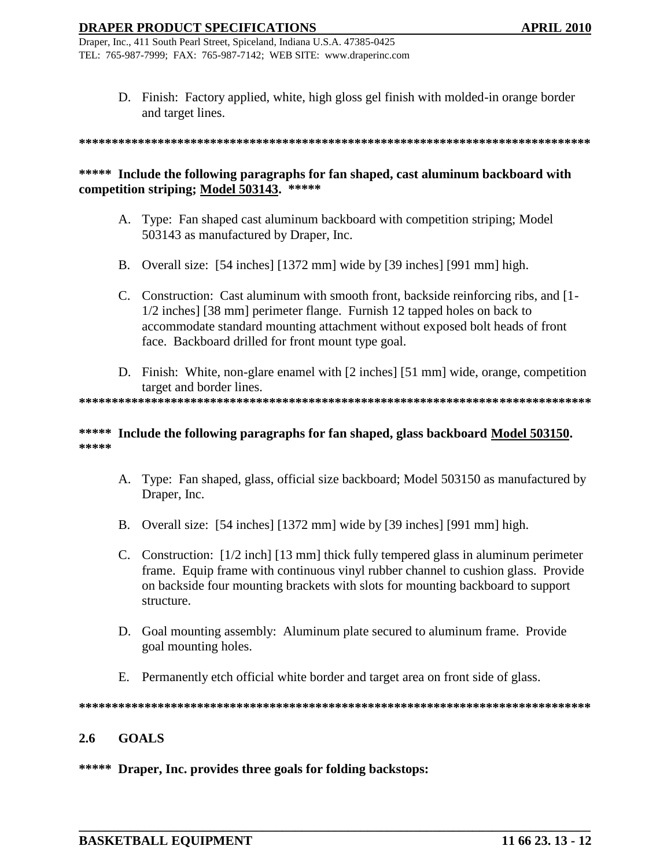Draper, Inc., 411 South Pearl Street, Spiceland, Indiana U.S.A. 47385-0425 TEL: 765-987-7999; FAX: 765-987-7142; WEB SITE: www.draperinc.com

> D. Finish: Factory applied, white, high gloss gel finish with molded-in orange border and target lines.

**\*\*\*\*\*\*\*\*\*\*\*\*\*\*\*\*\*\*\*\*\*\*\*\*\*\*\*\*\*\*\*\*\*\*\*\*\*\*\*\*\*\*\*\*\*\*\*\*\*\*\*\*\*\*\*\*\*\*\*\*\*\*\*\*\*\*\*\*\*\*\*\*\*\*\*\*\*\***

## **\*\*\*\*\* Include the following paragraphs for fan shaped, cast aluminum backboard with competition striping; Model 503143. \*\*\*\*\***

- A. Type: Fan shaped cast aluminum backboard with competition striping; Model 503143 as manufactured by Draper, Inc.
- B. Overall size: [54 inches] [1372 mm] wide by [39 inches] [991 mm] high.
- C. Construction: Cast aluminum with smooth front, backside reinforcing ribs, and [1- 1/2 inches] [38 mm] perimeter flange. Furnish 12 tapped holes on back to accommodate standard mounting attachment without exposed bolt heads of front face. Backboard drilled for front mount type goal.
- D. Finish: White, non-glare enamel with [2 inches] [51 mm] wide, orange, competition target and border lines.

**\*\*\*\*\*\*\*\*\*\*\*\*\*\*\*\*\*\*\*\*\*\*\*\*\*\*\*\*\*\*\*\*\*\*\*\*\*\*\*\*\*\*\*\*\*\*\*\*\*\*\*\*\*\*\*\*\*\*\*\*\*\*\*\*\*\*\*\*\*\*\*\*\*\*\*\*\*\***

#### **\*\*\*\*\* Include the following paragraphs for fan shaped, glass backboard Model 503150. \*\*\*\*\***

- A. Type: Fan shaped, glass, official size backboard; Model 503150 as manufactured by Draper, Inc.
- B. Overall size: [54 inches] [1372 mm] wide by [39 inches] [991 mm] high.
- C. Construction: [1/2 inch] [13 mm] thick fully tempered glass in aluminum perimeter frame. Equip frame with continuous vinyl rubber channel to cushion glass. Provide on backside four mounting brackets with slots for mounting backboard to support structure.
- D. Goal mounting assembly: Aluminum plate secured to aluminum frame. Provide goal mounting holes.
- E. Permanently etch official white border and target area on front side of glass.

**\*\*\*\*\*\*\*\*\*\*\*\*\*\*\*\*\*\*\*\*\*\*\*\*\*\*\*\*\*\*\*\*\*\*\*\*\*\*\*\*\*\*\*\*\*\*\*\*\*\*\*\*\*\*\*\*\*\*\*\*\*\*\*\*\*\*\*\*\*\*\*\*\*\*\*\*\*\***

**\_\_\_\_\_\_\_\_\_\_\_\_\_\_\_\_\_\_\_\_\_\_\_\_\_\_\_\_\_\_\_\_\_\_\_\_\_\_\_\_\_\_\_\_\_\_\_\_\_\_\_\_\_\_\_\_\_\_\_\_\_\_\_\_\_\_\_\_\_\_\_\_\_\_\_\_\_\_**

### **2.6 GOALS**

#### **\*\*\*\*\* Draper, Inc. provides three goals for folding backstops:**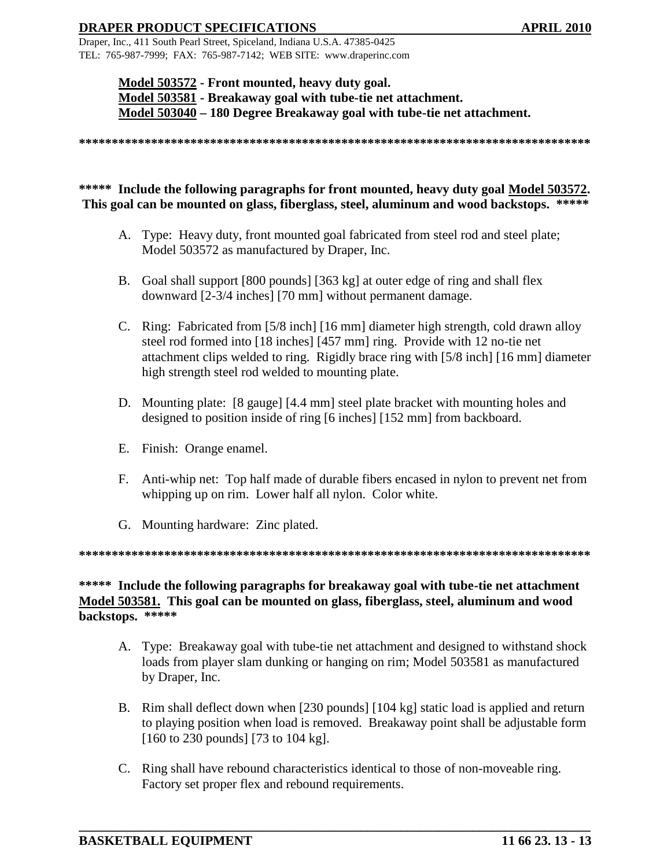Draper, Inc., 411 South Pearl Street, Spiceland, Indiana U.S.A. 47385-0425 TEL: 765-987-7999; FAX: 765-987-7142; WEB SITE: www.draperinc.com

> **Model 503572 - Front mounted, heavy duty goal. Model 503581 - Breakaway goal with tube-tie net attachment. Model 503040 – 180 Degree Breakaway goal with tube-tie net attachment.**

**\*\*\*\*\*\*\*\*\*\*\*\*\*\*\*\*\*\*\*\*\*\*\*\*\*\*\*\*\*\*\*\*\*\*\*\*\*\*\*\*\*\*\*\*\*\*\*\*\*\*\*\*\*\*\*\*\*\*\*\*\*\*\*\*\*\*\*\*\*\*\*\*\*\*\*\*\*\***

# **\*\*\*\*\* Include the following paragraphs for front mounted, heavy duty goal Model 503572. This goal can be mounted on glass, fiberglass, steel, aluminum and wood backstops. \*\*\*\*\***

- A. Type: Heavy duty, front mounted goal fabricated from steel rod and steel plate; Model 503572 as manufactured by Draper, Inc.
- B. Goal shall support [800 pounds] [363 kg] at outer edge of ring and shall flex downward [2-3/4 inches] [70 mm] without permanent damage.
- C. Ring: Fabricated from [5/8 inch] [16 mm] diameter high strength, cold drawn alloy steel rod formed into [18 inches] [457 mm] ring. Provide with 12 no-tie net attachment clips welded to ring. Rigidly brace ring with [5/8 inch] [16 mm] diameter high strength steel rod welded to mounting plate.
- D. Mounting plate: [8 gauge] [4.4 mm] steel plate bracket with mounting holes and designed to position inside of ring [6 inches] [152 mm] from backboard.
- E. Finish: Orange enamel.
- F. Anti-whip net: Top half made of durable fibers encased in nylon to prevent net from whipping up on rim. Lower half all nylon. Color white.
- G. Mounting hardware: Zinc plated.

**\*\*\*\*\*\*\*\*\*\*\*\*\*\*\*\*\*\*\*\*\*\*\*\*\*\*\*\*\*\*\*\*\*\*\*\*\*\*\*\*\*\*\*\*\*\*\*\*\*\*\*\*\*\*\*\*\*\*\*\*\*\*\*\*\*\*\*\*\*\*\*\*\*\*\*\*\*\***

## **\*\*\*\*\* Include the following paragraphs for breakaway goal with tube-tie net attachment Model 503581. This goal can be mounted on glass, fiberglass, steel, aluminum and wood backstops. \*\*\*\*\***

- A. Type: Breakaway goal with tube-tie net attachment and designed to withstand shock loads from player slam dunking or hanging on rim; Model 503581 as manufactured by Draper, Inc.
- B. Rim shall deflect down when [230 pounds] [104 kg] static load is applied and return to playing position when load is removed. Breakaway point shall be adjustable form [160 to 230 pounds] [73 to 104 kg].
- C. Ring shall have rebound characteristics identical to those of non-moveable ring. Factory set proper flex and rebound requirements.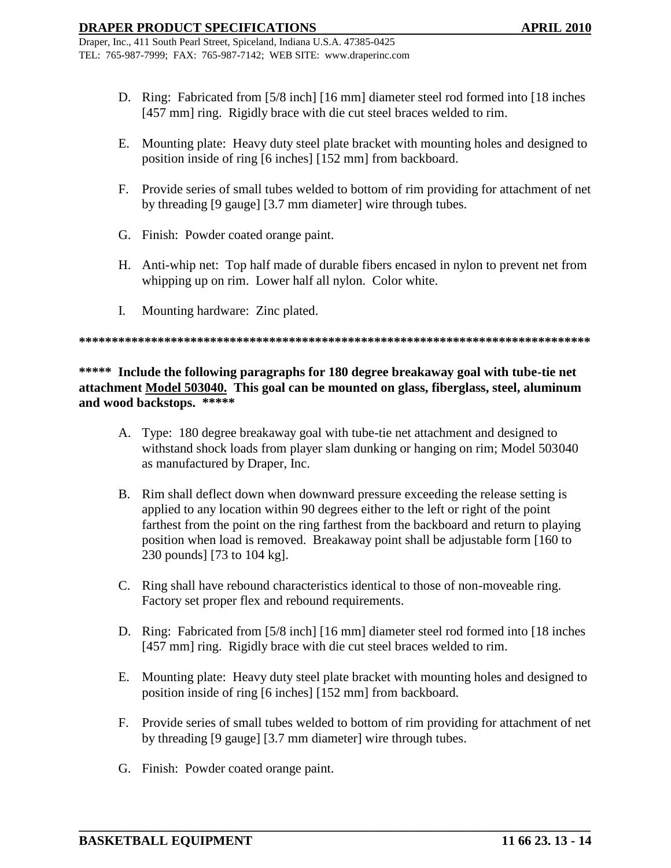- D. Ring: Fabricated from [5/8 inch] [16 mm] diameter steel rod formed into [18 inches [457 mm] ring. Rigidly brace with die cut steel braces welded to rim.
- E. Mounting plate: Heavy duty steel plate bracket with mounting holes and designed to position inside of ring [6 inches] [152 mm] from backboard.
- F. Provide series of small tubes welded to bottom of rim providing for attachment of net by threading [9 gauge] [3.7 mm diameter] wire through tubes.
- G. Finish: Powder coated orange paint.
- H. Anti-whip net: Top half made of durable fibers encased in nylon to prevent net from whipping up on rim. Lower half all nylon. Color white.
- I. Mounting hardware: Zinc plated.

**\*\*\*\*\*\*\*\*\*\*\*\*\*\*\*\*\*\*\*\*\*\*\*\*\*\*\*\*\*\*\*\*\*\*\*\*\*\*\*\*\*\*\*\*\*\*\*\*\*\*\*\*\*\*\*\*\*\*\*\*\*\*\*\*\*\*\*\*\*\*\*\*\*\*\*\*\*\***

**\*\*\*\*\* Include the following paragraphs for 180 degree breakaway goal with tube-tie net attachment Model 503040. This goal can be mounted on glass, fiberglass, steel, aluminum and wood backstops. \*\*\*\*\***

- A. Type: 180 degree breakaway goal with tube-tie net attachment and designed to withstand shock loads from player slam dunking or hanging on rim; Model 503040 as manufactured by Draper, Inc.
- B. Rim shall deflect down when downward pressure exceeding the release setting is applied to any location within 90 degrees either to the left or right of the point farthest from the point on the ring farthest from the backboard and return to playing position when load is removed. Breakaway point shall be adjustable form [160 to 230 pounds] [73 to 104 kg].
- C. Ring shall have rebound characteristics identical to those of non-moveable ring. Factory set proper flex and rebound requirements.
- D. Ring: Fabricated from [5/8 inch] [16 mm] diameter steel rod formed into [18 inches [457 mm] ring. Rigidly brace with die cut steel braces welded to rim.
- E. Mounting plate: Heavy duty steel plate bracket with mounting holes and designed to position inside of ring [6 inches] [152 mm] from backboard.
- F. Provide series of small tubes welded to bottom of rim providing for attachment of net by threading [9 gauge] [3.7 mm diameter] wire through tubes.
- G. Finish: Powder coated orange paint.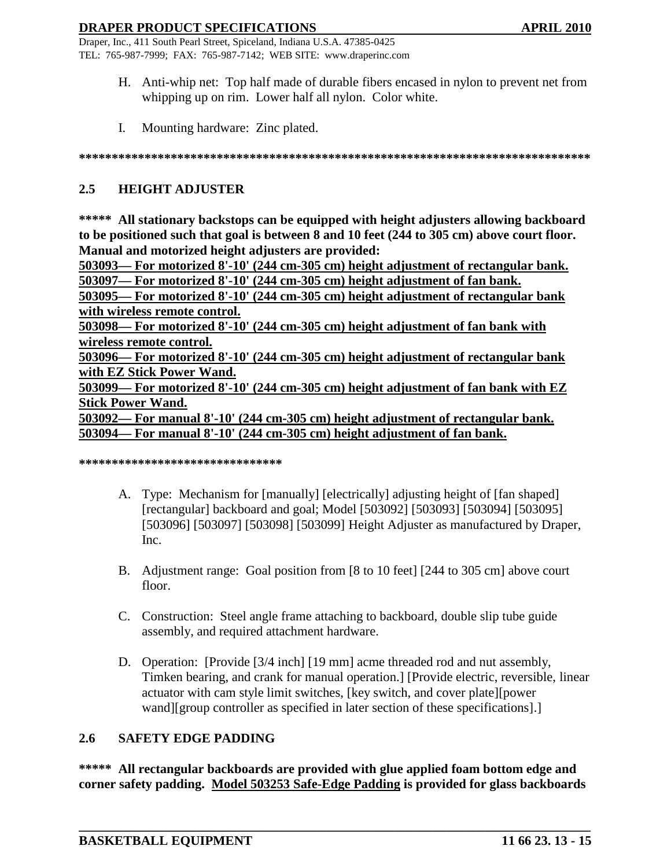Draper, Inc., 411 South Pearl Street, Spiceland, Indiana U.S.A. 47385-0425 TEL: 765-987-7999; FAX: 765-987-7142; WEB SITE: www.draperinc.com

- H. Anti-whip net: Top half made of durable fibers encased in nylon to prevent net from whipping up on rim. Lower half all nylon. Color white.
- I. Mounting hardware: Zinc plated.

**\*\*\*\*\*\*\*\*\*\*\*\*\*\*\*\*\*\*\*\*\*\*\*\*\*\*\*\*\*\*\*\*\*\*\*\*\*\*\*\*\*\*\*\*\*\*\*\*\*\*\*\*\*\*\*\*\*\*\*\*\*\*\*\*\*\*\*\*\*\*\*\*\*\*\*\*\*\***

# **2.5 HEIGHT ADJUSTER**

**\*\*\*\*\* All stationary backstops can be equipped with height adjusters allowing backboard to be positioned such that goal is between 8 and 10 feet (244 to 305 cm) above court floor. Manual and motorized height adjusters are provided:**

**503093— For motorized 8'-10' (244 cm-305 cm) height adjustment of rectangular bank.**

**503097— For motorized 8'-10' (244 cm-305 cm) height adjustment of fan bank.**

**503095— For motorized 8'-10' (244 cm-305 cm) height adjustment of rectangular bank with wireless remote control.**

**503098— For motorized 8'-10' (244 cm-305 cm) height adjustment of fan bank with wireless remote control.**

**503096— For motorized 8'-10' (244 cm-305 cm) height adjustment of rectangular bank with EZ Stick Power Wand.**

**503099— For motorized 8'-10' (244 cm-305 cm) height adjustment of fan bank with EZ Stick Power Wand.**

**503092— For manual 8'-10' (244 cm-305 cm) height adjustment of rectangular bank. 503094— For manual 8'-10' (244 cm-305 cm) height adjustment of fan bank.**

**\*\*\*\*\*\*\*\*\*\*\*\*\*\*\*\*\*\*\*\*\*\*\*\*\*\*\*\*\*\*\***

- A. Type: Mechanism for [manually] [electrically] adjusting height of [fan shaped] [rectangular] backboard and goal; Model [503092] [503093] [503094] [503095] [503096] [503097] [503098] [503099] Height Adjuster as manufactured by Draper, Inc.
- B. Adjustment range: Goal position from [8 to 10 feet] [244 to 305 cm] above court floor.
- C. Construction: Steel angle frame attaching to backboard, double slip tube guide assembly, and required attachment hardware.
- D. Operation: [Provide [3/4 inch] [19 mm] acme threaded rod and nut assembly, Timken bearing, and crank for manual operation.] [Provide electric, reversible, linear actuator with cam style limit switches, [key switch, and cover plate][power wand][group controller as specified in later section of these specifications].]

# **2.6 SAFETY EDGE PADDING**

**\*\*\*\*\* All rectangular backboards are provided with glue applied foam bottom edge and corner safety padding. Model 503253 Safe-Edge Padding is provided for glass backboards**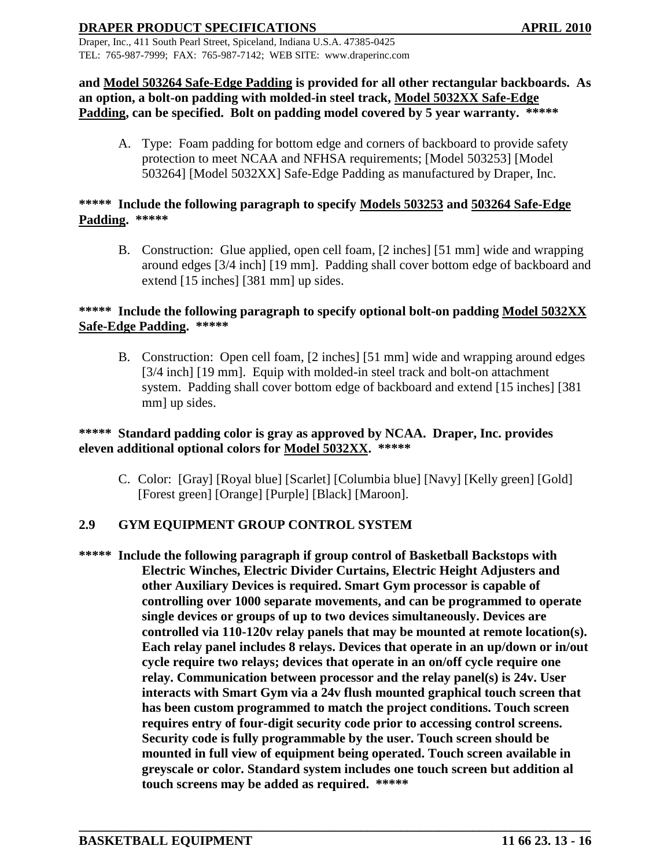Draper, Inc., 411 South Pearl Street, Spiceland, Indiana U.S.A. 47385-0425 TEL: 765-987-7999; FAX: 765-987-7142; WEB SITE: www.draperinc.com

# **and Model 503264 Safe-Edge Padding is provided for all other rectangular backboards. As an option, a bolt-on padding with molded-in steel track, Model 5032XX Safe-Edge Padding, can be specified. Bolt on padding model covered by 5 year warranty. \*\*\*\*\***

A. Type: Foam padding for bottom edge and corners of backboard to provide safety protection to meet NCAA and NFHSA requirements; [Model 503253] [Model 503264] [Model 5032XX] Safe-Edge Padding as manufactured by Draper, Inc.

# **\*\*\*\*\* Include the following paragraph to specify Models 503253 and 503264 Safe-Edge Padding. \*\*\*\*\***

B. Construction: Glue applied, open cell foam, [2 inches] [51 mm] wide and wrapping around edges [3/4 inch] [19 mm]. Padding shall cover bottom edge of backboard and extend [15 inches] [381 mm] up sides.

# **\*\*\*\*\* Include the following paragraph to specify optional bolt-on padding Model 5032XX Safe-Edge Padding. \*\*\*\*\***

B. Construction: Open cell foam, [2 inches] [51 mm] wide and wrapping around edges [3/4 inch] [19 mm]. Equip with molded-in steel track and bolt-on attachment system. Padding shall cover bottom edge of backboard and extend [15 inches] [381 mm] up sides.

# **\*\*\*\*\* Standard padding color is gray as approved by NCAA. Draper, Inc. provides eleven additional optional colors for Model 5032XX. \*\*\*\*\***

C. Color: [Gray] [Royal blue] [Scarlet] [Columbia blue] [Navy] [Kelly green] [Gold] [Forest green] [Orange] [Purple] [Black] [Maroon].

# **2.9 GYM EQUIPMENT GROUP CONTROL SYSTEM**

**\*\*\*\*\* Include the following paragraph if group control of Basketball Backstops with Electric Winches, Electric Divider Curtains, Electric Height Adjusters and other Auxiliary Devices is required. Smart Gym processor is capable of controlling over 1000 separate movements, and can be programmed to operate single devices or groups of up to two devices simultaneously. Devices are controlled via 110-120v relay panels that may be mounted at remote location(s). Each relay panel includes 8 relays. Devices that operate in an up/down or in/out cycle require two relays; devices that operate in an on/off cycle require one relay. Communication between processor and the relay panel(s) is 24v. User interacts with Smart Gym via a 24v flush mounted graphical touch screen that has been custom programmed to match the project conditions. Touch screen requires entry of four-digit security code prior to accessing control screens. Security code is fully programmable by the user. Touch screen should be mounted in full view of equipment being operated. Touch screen available in greyscale or color. Standard system includes one touch screen but addition al touch screens may be added as required. \*\*\*\*\***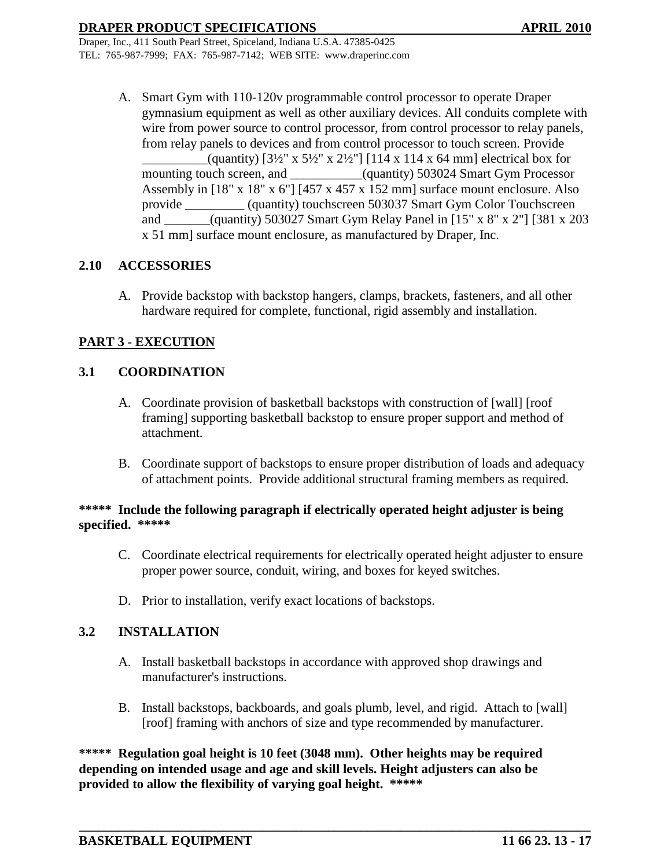> A. Smart Gym with 110-120v programmable control processor to operate Draper gymnasium equipment as well as other auxiliary devices. All conduits complete with wire from power source to control processor, from control processor to relay panels, from relay panels to devices and from control processor to touch screen. Provide  $\alpha$  (quantity) [3½" x 5½" x 2½"] [114 x 114 x 64 mm] electrical box for mounting touch screen, and \_\_\_\_\_\_\_\_\_\_(quantity) 503024 Smart Gym Processor Assembly in [18" x 18" x 6"] [457 x 457 x 152 mm] surface mount enclosure. Also provide \_\_\_\_\_\_\_\_\_ (quantity) touchscreen 503037 Smart Gym Color Touchscreen and \_\_\_\_\_\_\_(quantity) 503027 Smart Gym Relay Panel in [15" x 8" x 2"] [381 x 203 x 51 mm] surface mount enclosure, as manufactured by Draper, Inc.

# **2.10 ACCESSORIES**

A. Provide backstop with backstop hangers, clamps, brackets, fasteners, and all other hardware required for complete, functional, rigid assembly and installation.

# **PART 3 - EXECUTION**

### **3.1 COORDINATION**

- A. Coordinate provision of basketball backstops with construction of [wall] [roof framing] supporting basketball backstop to ensure proper support and method of attachment.
- B. Coordinate support of backstops to ensure proper distribution of loads and adequacy of attachment points. Provide additional structural framing members as required.

# \*\*\*\*\* Include the following paragraph if electrically operated height adjuster is being **specified. \*\*\*\*\***

- C. Coordinate electrical requirements for electrically operated height adjuster to ensure proper power source, conduit, wiring, and boxes for keyed switches.
- D. Prior to installation, verify exact locations of backstops.

### **3.2 INSTALLATION**

- A. Install basketball backstops in accordance with approved shop drawings and manufacturer's instructions.
- B. Install backstops, backboards, and goals plumb, level, and rigid. Attach to [wall] [roof] framing with anchors of size and type recommended by manufacturer.

**\_\_\_\_\_\_\_\_\_\_\_\_\_\_\_\_\_\_\_\_\_\_\_\_\_\_\_\_\_\_\_\_\_\_\_\_\_\_\_\_\_\_\_\_\_\_\_\_\_\_\_\_\_\_\_\_\_\_\_\_\_\_\_\_\_\_\_\_\_\_\_\_\_\_\_\_\_\_**

**\*\*\*\*\* Regulation goal height is 10 feet (3048 mm). Other heights may be required depending on intended usage and age and skill levels. Height adjusters can also be provided to allow the flexibility of varying goal height. \*\*\*\*\***